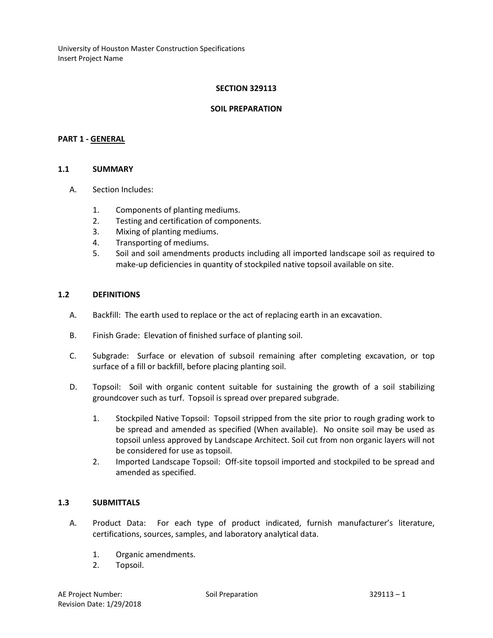## **SECTION 329113**

#### **SOIL PREPARATION**

### **PART 1 - GENERAL**

### **1.1 SUMMARY**

- A. Section Includes:
	- 1. Components of planting mediums.
	- 2. Testing and certification of components.
	- 3. Mixing of planting mediums.
	- 4. Transporting of mediums.
	- 5. Soil and soil amendments products including all imported landscape soil as required to make-up deficiencies in quantity of stockpiled native topsoil available on site.

#### **1.2 DEFINITIONS**

- A. Backfill: The earth used to replace or the act of replacing earth in an excavation.
- B. Finish Grade: Elevation of finished surface of planting soil.
- C. Subgrade: Surface or elevation of subsoil remaining after completing excavation, or top surface of a fill or backfill, before placing planting soil.
- D. Topsoil: Soil with organic content suitable for sustaining the growth of a soil stabilizing groundcover such as turf. Topsoil is spread over prepared subgrade.
	- 1. Stockpiled Native Topsoil: Topsoil stripped from the site prior to rough grading work to be spread and amended as specified (When available). No onsite soil may be used as topsoil unless approved by Landscape Architect. Soil cut from non organic layers will not be considered for use as topsoil.
	- 2. Imported Landscape Topsoil: Off-site topsoil imported and stockpiled to be spread and amended as specified.

# **1.3 SUBMITTALS**

- A. Product Data: For each type of product indicated, furnish manufacturer's literature, certifications, sources, samples, and laboratory analytical data.
	- 1. Organic amendments.
	- 2. Topsoil.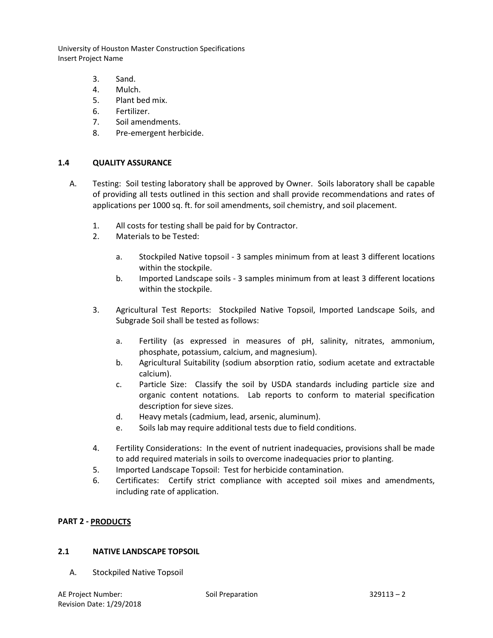- 3. Sand.
- 4. Mulch.
- 5. Plant bed mix.
- 6. Fertilizer.
- 7. Soil amendments.
- 8. Pre-emergent herbicide.

# **1.4 QUALITY ASSURANCE**

- A. Testing: Soil testing laboratory shall be approved by Owner. Soils laboratory shall be capable of providing all tests outlined in this section and shall provide recommendations and rates of applications per 1000 sq. ft. for soil amendments, soil chemistry, and soil placement.
	- 1. All costs for testing shall be paid for by Contractor.
	- 2. Materials to be Tested:
		- a. Stockpiled Native topsoil 3 samples minimum from at least 3 different locations within the stockpile.
		- b. Imported Landscape soils 3 samples minimum from at least 3 different locations within the stockpile.
	- 3. Agricultural Test Reports: Stockpiled Native Topsoil, Imported Landscape Soils, and Subgrade Soil shall be tested as follows:
		- a. Fertility (as expressed in measures of pH, salinity, nitrates, ammonium, phosphate, potassium, calcium, and magnesium).
		- b. Agricultural Suitability (sodium absorption ratio, sodium acetate and extractable calcium).
		- c. Particle Size: Classify the soil by USDA standards including particle size and organic content notations. Lab reports to conform to material specification description for sieve sizes.
		- d. Heavy metals (cadmium, lead, arsenic, aluminum).
		- e. Soils lab may require additional tests due to field conditions.
	- 4. Fertility Considerations: In the event of nutrient inadequacies, provisions shall be made to add required materials in soils to overcome inadequacies prior to planting.
	- 5. Imported Landscape Topsoil: Test for herbicide contamination.
	- 6. Certificates: Certify strict compliance with accepted soil mixes and amendments, including rate of application.

# **PART 2 - PRODUCTS**

# **2.1 NATIVE LANDSCAPE TOPSOIL**

A. Stockpiled Native Topsoil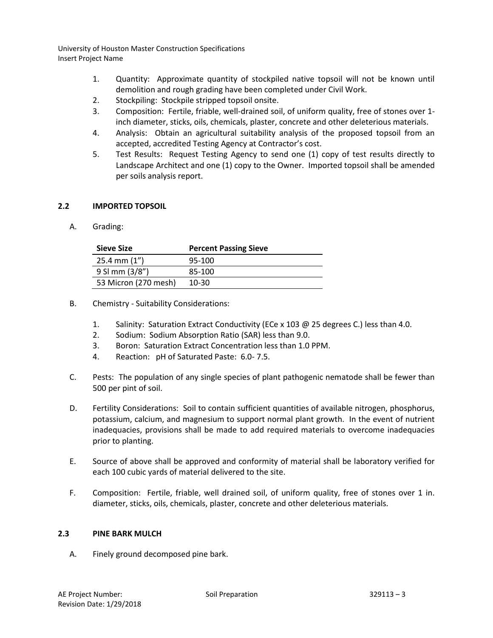- 1. Quantity: Approximate quantity of stockpiled native topsoil will not be known until demolition and rough grading have been completed under Civil Work.
- 2. Stockpiling: Stockpile stripped topsoil onsite.
- 3. Composition: Fertile, friable, well-drained soil, of uniform quality, free of stones over 1 inch diameter, sticks, oils, chemicals, plaster, concrete and other deleterious materials.
- 4. Analysis: Obtain an agricultural suitability analysis of the proposed topsoil from an accepted, accredited Testing Agency at Contractor's cost.
- 5. Test Results: Request Testing Agency to send one (1) copy of test results directly to Landscape Architect and one (1) copy to the Owner. Imported topsoil shall be amended per soils analysis report.

# **2.2 IMPORTED TOPSOIL**

A. Grading:

| Sieve Size           | <b>Percent Passing Sieve</b> |
|----------------------|------------------------------|
| $25.4$ mm $(1'')$    | 95-100                       |
| 9 SI mm (3/8")       | 85-100                       |
| 53 Micron (270 mesh) | 10-30                        |
|                      |                              |

- B. Chemistry Suitability Considerations:
	- 1. Salinity: Saturation Extract Conductivity (ECe x 103 @ 25 degrees C.) less than 4.0.
	- 2. Sodium: Sodium Absorption Ratio (SAR) less than 9.0.
	- 3. Boron: Saturation Extract Concentration less than 1.0 PPM.
	- 4. Reaction: pH of Saturated Paste: 6.0- 7.5.
- C. Pests: The population of any single species of plant pathogenic nematode shall be fewer than 500 per pint of soil.
- D. Fertility Considerations: Soil to contain sufficient quantities of available nitrogen, phosphorus, potassium, calcium, and magnesium to support normal plant growth. In the event of nutrient inadequacies, provisions shall be made to add required materials to overcome inadequacies prior to planting.
- E. Source of above shall be approved and conformity of material shall be laboratory verified for each 100 cubic yards of material delivered to the site.
- F. Composition: Fertile, friable, well drained soil, of uniform quality, free of stones over 1 in. diameter, sticks, oils, chemicals, plaster, concrete and other deleterious materials.

# **2.3 PINE BARK MULCH**

A. Finely ground decomposed pine bark.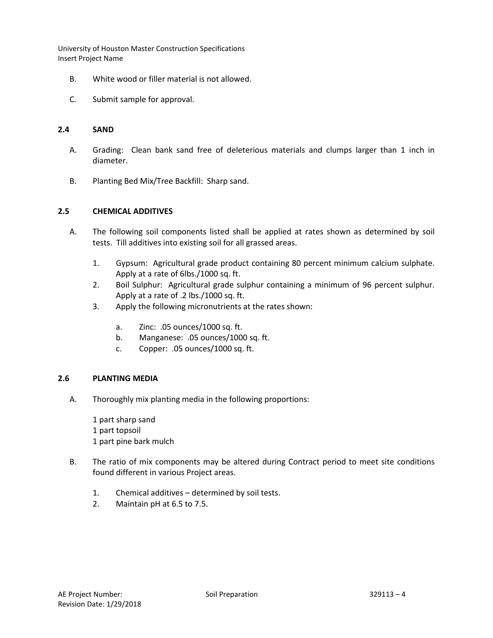- B. White wood or filler material is not allowed.
- C. Submit sample for approval.

#### **2.4 SAND**

- A. Grading: Clean bank sand free of deleterious materials and clumps larger than 1 inch in diameter.
- B. Planting Bed Mix/Tree Backfill: Sharp sand.

### **2.5 CHEMICAL ADDITIVES**

- A. The following soil components listed shall be applied at rates shown as determined by soil tests. Till additives into existing soil for all grassed areas.
	- 1. Gypsum: Agricultural grade product containing 80 percent minimum calcium sulphate. Apply at a rate of 6lbs./1000 sq. ft.
	- 2. Boil Sulphur: Agricultural grade sulphur containing a minimum of 96 percent sulphur. Apply at a rate of .2 lbs./1000 sq. ft.
	- 3. Apply the following micronutrients at the rates shown:
		- a. Zinc: .05 ounces/1000 sq. ft.
		- b. Manganese: .05 ounces/1000 sq. ft.
		- c. Copper: .05 ounces/1000 sq. ft.

## **2.6 PLANTING MEDIA**

A. Thoroughly mix planting media in the following proportions:

1 part sharp sand 1 part topsoil 1 part pine bark mulch

- B. The ratio of mix components may be altered during Contract period to meet site conditions found different in various Project areas.
	- 1. Chemical additives determined by soil tests.
	- 2. Maintain pH at 6.5 to 7.5.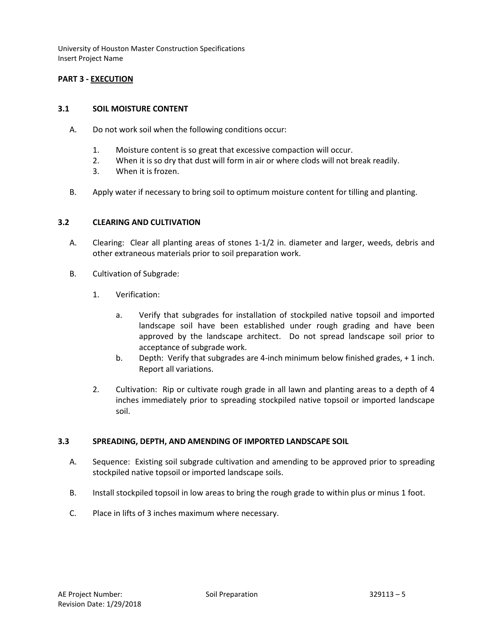# **PART 3 - EXECUTION**

## **3.1 SOIL MOISTURE CONTENT**

- A. Do not work soil when the following conditions occur:
	- 1. Moisture content is so great that excessive compaction will occur.
	- 2. When it is so dry that dust will form in air or where clods will not break readily.
	- 3. When it is frozen.
- B. Apply water if necessary to bring soil to optimum moisture content for tilling and planting.

### **3.2 CLEARING AND CULTIVATION**

- A. Clearing: Clear all planting areas of stones 1-1/2 in. diameter and larger, weeds, debris and other extraneous materials prior to soil preparation work.
- B. Cultivation of Subgrade:
	- 1. Verification:
		- a. Verify that subgrades for installation of stockpiled native topsoil and imported landscape soil have been established under rough grading and have been approved by the landscape architect. Do not spread landscape soil prior to acceptance of subgrade work.
		- b. Depth: Verify that subgrades are 4-inch minimum below finished grades, + 1 inch. Report all variations.
	- 2. Cultivation: Rip or cultivate rough grade in all lawn and planting areas to a depth of 4 inches immediately prior to spreading stockpiled native topsoil or imported landscape soil.

#### **3.3 SPREADING, DEPTH, AND AMENDING OF IMPORTED LANDSCAPE SOIL**

- A. Sequence: Existing soil subgrade cultivation and amending to be approved prior to spreading stockpiled native topsoil or imported landscape soils.
- B. Install stockpiled topsoil in low areas to bring the rough grade to within plus or minus 1 foot.
- C. Place in lifts of 3 inches maximum where necessary.